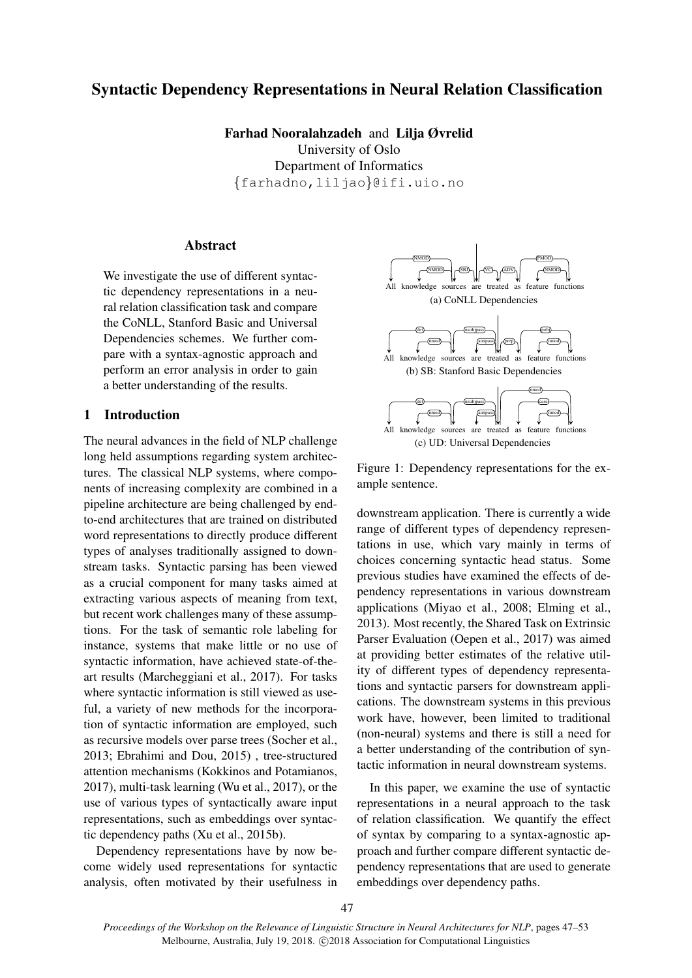# Syntactic Dependency Representations in Neural Relation Classification

Farhad Nooralahzadeh and Lilja Øvrelid University of Oslo Department of Informatics {farhadno,liljao}@ifi.uio.no

## **Abstract**

We investigate the use of different syntactic dependency representations in a neural relation classification task and compare the CoNLL, Stanford Basic and Universal Dependencies schemes. We further compare with a syntax-agnostic approach and perform an error analysis in order to gain a better understanding of the results.

## 1 Introduction

The neural advances in the field of NLP challenge long held assumptions regarding system architectures. The classical NLP systems, where components of increasing complexity are combined in a pipeline architecture are being challenged by endto-end architectures that are trained on distributed word representations to directly produce different types of analyses traditionally assigned to downstream tasks. Syntactic parsing has been viewed as a crucial component for many tasks aimed at extracting various aspects of meaning from text, but recent work challenges many of these assumptions. For the task of semantic role labeling for instance, systems that make little or no use of syntactic information, have achieved state-of-theart results (Marcheggiani et al., 2017). For tasks where syntactic information is still viewed as useful, a variety of new methods for the incorporation of syntactic information are employed, such as recursive models over parse trees (Socher et al., 2013; Ebrahimi and Dou, 2015) , tree-structured attention mechanisms (Kokkinos and Potamianos, 2017), multi-task learning (Wu et al., 2017), or the use of various types of syntactically aware input representations, such as embeddings over syntactic dependency paths (Xu et al., 2015b).

Dependency representations have by now become widely used representations for syntactic analysis, often motivated by their usefulness in



Figure 1: Dependency representations for the example sentence.

downstream application. There is currently a wide range of different types of dependency representations in use, which vary mainly in terms of choices concerning syntactic head status. Some previous studies have examined the effects of dependency representations in various downstream applications (Miyao et al., 2008; Elming et al., 2013). Most recently, the Shared Task on Extrinsic Parser Evaluation (Oepen et al., 2017) was aimed at providing better estimates of the relative utility of different types of dependency representations and syntactic parsers for downstream applications. The downstream systems in this previous work have, however, been limited to traditional (non-neural) systems and there is still a need for a better understanding of the contribution of syntactic information in neural downstream systems.

In this paper, we examine the use of syntactic representations in a neural approach to the task of relation classification. We quantify the effect of syntax by comparing to a syntax-agnostic approach and further compare different syntactic dependency representations that are used to generate embeddings over dependency paths.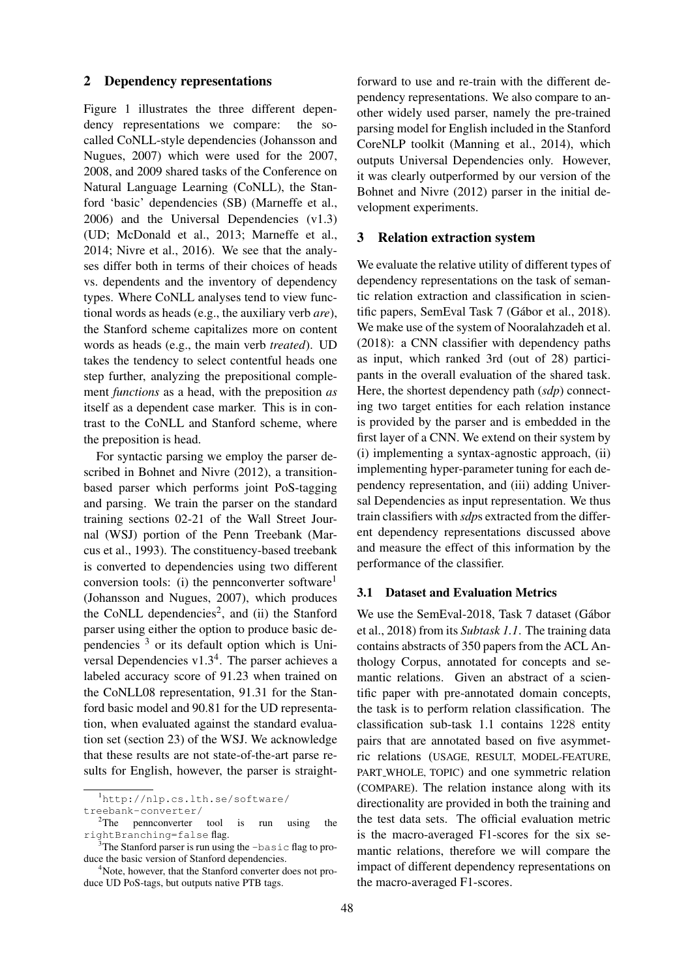### 2 Dependency representations

Figure 1 illustrates the three different dependency representations we compare: the socalled CoNLL-style dependencies (Johansson and Nugues, 2007) which were used for the 2007, 2008, and 2009 shared tasks of the Conference on Natural Language Learning (CoNLL), the Stanford 'basic' dependencies (SB) (Marneffe et al., 2006) and the Universal Dependencies (v1.3) (UD; McDonald et al., 2013; Marneffe et al., 2014; Nivre et al., 2016). We see that the analyses differ both in terms of their choices of heads vs. dependents and the inventory of dependency types. Where CoNLL analyses tend to view functional words as heads (e.g., the auxiliary verb *are*), the Stanford scheme capitalizes more on content words as heads (e.g., the main verb *treated*). UD takes the tendency to select contentful heads one step further, analyzing the prepositional complement *functions* as a head, with the preposition *as* itself as a dependent case marker. This is in contrast to the CoNLL and Stanford scheme, where the preposition is head.

For syntactic parsing we employ the parser described in Bohnet and Nivre (2012), a transitionbased parser which performs joint PoS-tagging and parsing. We train the parser on the standard training sections 02-21 of the Wall Street Journal (WSJ) portion of the Penn Treebank (Marcus et al., 1993). The constituency-based treebank is converted to dependencies using two different conversion tools: (i) the pennconverter software<sup>1</sup> (Johansson and Nugues, 2007), which produces the CoNLL dependencies<sup>2</sup>, and (ii) the Stanford parser using either the option to produce basic dependencies  $3$  or its default option which is Universal Dependencies  $v1.3<sup>4</sup>$ . The parser achieves a labeled accuracy score of 91.23 when trained on the CoNLL08 representation, 91.31 for the Stanford basic model and 90.81 for the UD representation, when evaluated against the standard evaluation set (section 23) of the WSJ. We acknowledge that these results are not state-of-the-art parse results for English, however, the parser is straight-

<sup>1</sup>http://nlp.cs.lth.se/software/ treebank-converter/

forward to use and re-train with the different dependency representations. We also compare to another widely used parser, namely the pre-trained parsing model for English included in the Stanford CoreNLP toolkit (Manning et al., 2014), which outputs Universal Dependencies only. However, it was clearly outperformed by our version of the Bohnet and Nivre (2012) parser in the initial development experiments.

### 3 Relation extraction system

We evaluate the relative utility of different types of dependency representations on the task of semantic relation extraction and classification in scientific papers, SemEval Task 7 (Gábor et al., 2018). We make use of the system of Nooralahzadeh et al. (2018): a CNN classifier with dependency paths as input, which ranked 3rd (out of 28) participants in the overall evaluation of the shared task. Here, the shortest dependency path (*sdp*) connecting two target entities for each relation instance is provided by the parser and is embedded in the first layer of a CNN. We extend on their system by (i) implementing a syntax-agnostic approach, (ii) implementing hyper-parameter tuning for each dependency representation, and (iii) adding Universal Dependencies as input representation. We thus train classifiers with *sdp*s extracted from the different dependency representations discussed above and measure the effect of this information by the performance of the classifier.

### 3.1 Dataset and Evaluation Metrics

We use the SemEval-2018, Task 7 dataset (Gábor et al., 2018) from its *Subtask 1.1*. The training data contains abstracts of 350 papers from the ACL Anthology Corpus, annotated for concepts and semantic relations. Given an abstract of a scientific paper with pre-annotated domain concepts, the task is to perform relation classification. The classification sub-task 1.1 contains 1228 entity pairs that are annotated based on five asymmetric relations (USAGE, RESULT, MODEL-FEATURE, PART WHOLE, TOPIC) and one symmetric relation (COMPARE). The relation instance along with its directionality are provided in both the training and the test data sets. The official evaluation metric is the macro-averaged F1-scores for the six semantic relations, therefore we will compare the impact of different dependency representations on the macro-averaged F1-scores.

<sup>&</sup>lt;sup>2</sup>The pennconverter tool is run using the rightBranching=false flag.

 $3$ The Stanford parser is run using the  $-\text{basic flag}$  to produce the basic version of Stanford dependencies.

<sup>&</sup>lt;sup>4</sup>Note, however, that the Stanford converter does not produce UD PoS-tags, but outputs native PTB tags.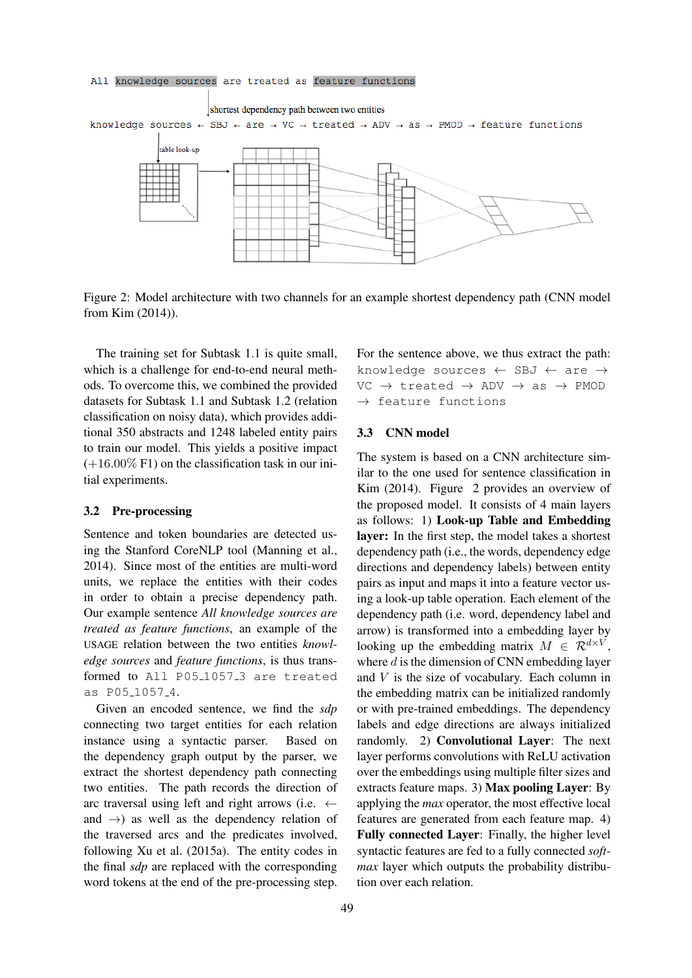#### All knowledge sources are treated as feature functions



Figure 2: Model architecture with two channels for an example shortest dependency path (CNN model from Kim (2014)).

The training set for Subtask 1.1 is quite small, which is a challenge for end-to-end neural methods. To overcome this, we combined the provided datasets for Subtask 1.1 and Subtask 1.2 (relation classification on noisy data), which provides additional 350 abstracts and 1248 labeled entity pairs to train our model. This yields a positive impact  $(+16.00\% \text{ F1})$  on the classification task in our initial experiments.

#### 3.2 Pre-processing

Sentence and token boundaries are detected using the Stanford CoreNLP tool (Manning et al., 2014). Since most of the entities are multi-word units, we replace the entities with their codes in order to obtain a precise dependency path. Our example sentence *All knowledge sources are treated as feature functions*, an example of the USAGE relation between the two entities *knowledge sources* and *feature functions*, is thus transformed to All P05<sub>-1057-3</sub> are treated as P05 1057 4.

Given an encoded sentence, we find the *sdp* connecting two target entities for each relation instance using a syntactic parser. Based on the dependency graph output by the parser, we extract the shortest dependency path connecting two entities. The path records the direction of arc traversal using left and right arrows (i.e.  $\leftarrow$ and  $\rightarrow$ ) as well as the dependency relation of the traversed arcs and the predicates involved, following Xu et al. (2015a). The entity codes in the final *sdp* are replaced with the corresponding word tokens at the end of the pre-processing step.

For the sentence above, we thus extract the path: knowledge sources ← SBJ ← are →  $VC \rightarrow treated \rightarrow ADV \rightarrow as \rightarrow PMOD$  $\rightarrow$  feature functions

#### 3.3 CNN model

The system is based on a CNN architecture similar to the one used for sentence classification in Kim (2014). Figure 2 provides an overview of the proposed model. It consists of 4 main layers as follows: 1) Look-up Table and Embedding layer: In the first step, the model takes a shortest dependency path (i.e., the words, dependency edge directions and dependency labels) between entity pairs as input and maps it into a feature vector using a look-up table operation. Each element of the dependency path (i.e. word, dependency label and arrow) is transformed into a embedding layer by looking up the embedding matrix  $M \in \mathcal{R}^{d \times V}$ , where  $d$  is the dimension of CNN embedding layer and  $V$  is the size of vocabulary. Each column in the embedding matrix can be initialized randomly or with pre-trained embeddings. The dependency labels and edge directions are always initialized randomly. 2) Convolutional Layer: The next layer performs convolutions with ReLU activation over the embeddings using multiple filter sizes and extracts feature maps. 3) Max pooling Layer: By applying the *max* operator, the most effective local features are generated from each feature map. 4) Fully connected Layer: Finally, the higher level syntactic features are fed to a fully connected *softmax* layer which outputs the probability distribution over each relation.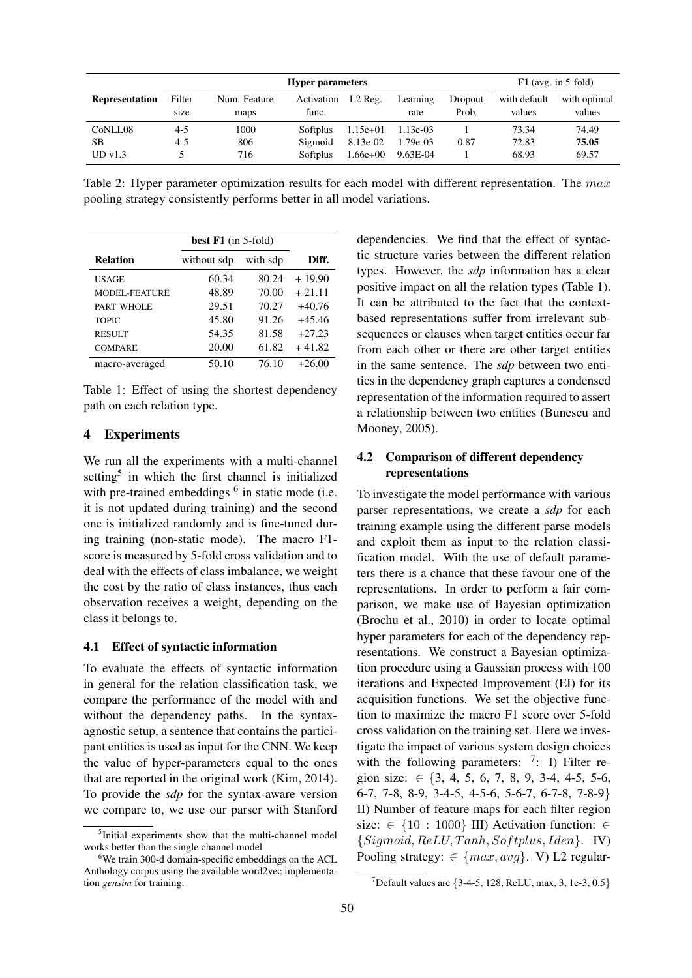|                       | <b>Hyper parameters</b> |                      |                     |            |                  | $F1$ . (avg. in 5-fold) |                        |                        |
|-----------------------|-------------------------|----------------------|---------------------|------------|------------------|-------------------------|------------------------|------------------------|
| <b>Representation</b> | Filter<br>size          | Num. Feature<br>maps | Activation<br>func. | $L2$ Reg.  | Learning<br>rate | Dropout<br>Prob.        | with default<br>values | with optimal<br>values |
| CoNLL08               | $4 - 5$                 | 1000                 | Softplus            | $1.15e+01$ | $1.13e-03$       |                         | 73.34                  | 74.49                  |
| <b>SB</b>             | $4 - 5$                 | 806                  | Sigmoid             | 8.13e-02   | 1.79e-03         | 0.87                    | 72.83                  | 75.05                  |
| UDv1.3                |                         | 716                  | Softplus            | $1.66e+00$ | 9.63E-04         |                         | 68.93                  | 69.57                  |

Table 2: Hyper parameter optimization results for each model with different representation. The  $max$ pooling strategy consistently performs better in all model variations.

|                      | best $F1$ (in 5-fold) |          |          |
|----------------------|-----------------------|----------|----------|
| <b>Relation</b>      | without sdp           | with sdp | Diff.    |
| <b>USAGE</b>         | 60.34                 | 80.24    | $+19.90$ |
| <b>MODEL-FEATURE</b> | 48.89                 | 70.00    | $+21.11$ |
| PART WHOLE           | 29.51                 | 70.27    | $+40.76$ |
| <b>TOPIC</b>         | 45.80                 | 91.26    | $+45.46$ |
| <b>RESULT</b>        | 54.35                 | 81.58    | $+27.23$ |
| <b>COMPARE</b>       | 20.00                 | 61.82    | $+41.82$ |
| macro-averaged       | 50.10                 | 76.10    | $+26.00$ |

Table 1: Effect of using the shortest dependency path on each relation type.

## 4 Experiments

We run all the experiments with a multi-channel setting<sup>5</sup> in which the first channel is initialized with pre-trained embeddings  $<sup>6</sup>$  in static mode (i.e.</sup> it is not updated during training) and the second one is initialized randomly and is fine-tuned during training (non-static mode). The macro F1 score is measured by 5-fold cross validation and to deal with the effects of class imbalance, we weight the cost by the ratio of class instances, thus each observation receives a weight, depending on the class it belongs to.

### 4.1 Effect of syntactic information

To evaluate the effects of syntactic information in general for the relation classification task, we compare the performance of the model with and without the dependency paths. In the syntaxagnostic setup, a sentence that contains the participant entities is used as input for the CNN. We keep the value of hyper-parameters equal to the ones that are reported in the original work (Kim, 2014). To provide the *sdp* for the syntax-aware version we compare to, we use our parser with Stanford dependencies. We find that the effect of syntactic structure varies between the different relation types. However, the *sdp* information has a clear positive impact on all the relation types (Table 1). It can be attributed to the fact that the contextbased representations suffer from irrelevant subsequences or clauses when target entities occur far from each other or there are other target entities in the same sentence. The *sdp* between two entities in the dependency graph captures a condensed representation of the information required to assert a relationship between two entities (Bunescu and Mooney, 2005).

## 4.2 Comparison of different dependency representations

To investigate the model performance with various parser representations, we create a *sdp* for each training example using the different parse models and exploit them as input to the relation classification model. With the use of default parameters there is a chance that these favour one of the representations. In order to perform a fair comparison, we make use of Bayesian optimization (Brochu et al., 2010) in order to locate optimal hyper parameters for each of the dependency representations. We construct a Bayesian optimization procedure using a Gaussian process with 100 iterations and Expected Improvement (EI) for its acquisition functions. We set the objective function to maximize the macro F1 score over 5-fold cross validation on the training set. Here we investigate the impact of various system design choices with the following parameters:  $7:$  I) Filter region size:  $\in \{3, 4, 5, 6, 7, 8, 9, 3-4, 4-5, 5-6,$ 6-7, 7-8, 8-9, 3-4-5, 4-5-6, 5-6-7, 6-7-8, 7-8-9} II) Number of feature maps for each filter region size:  $\in$  {10 : 1000} III) Activation function:  $\in$  ${Sigmoid, ReLU, Tanh, Softplus, Iden}.$  IV) Pooling strategy:  $\in \{max, avg\}$ . V) L2 regular-

<sup>&</sup>lt;sup>5</sup>Initial experiments show that the multi-channel model works better than the single channel model

<sup>&</sup>lt;sup>6</sup>We train 300-d domain-specific embeddings on the ACL Anthology corpus using the available word2vec implementation *gensim* for training.

<sup>&</sup>lt;sup>7</sup>Default values are  $\{3-4-5, 128, \text{ReLU}, \text{max}, 3, 1e-3, 0.5\}$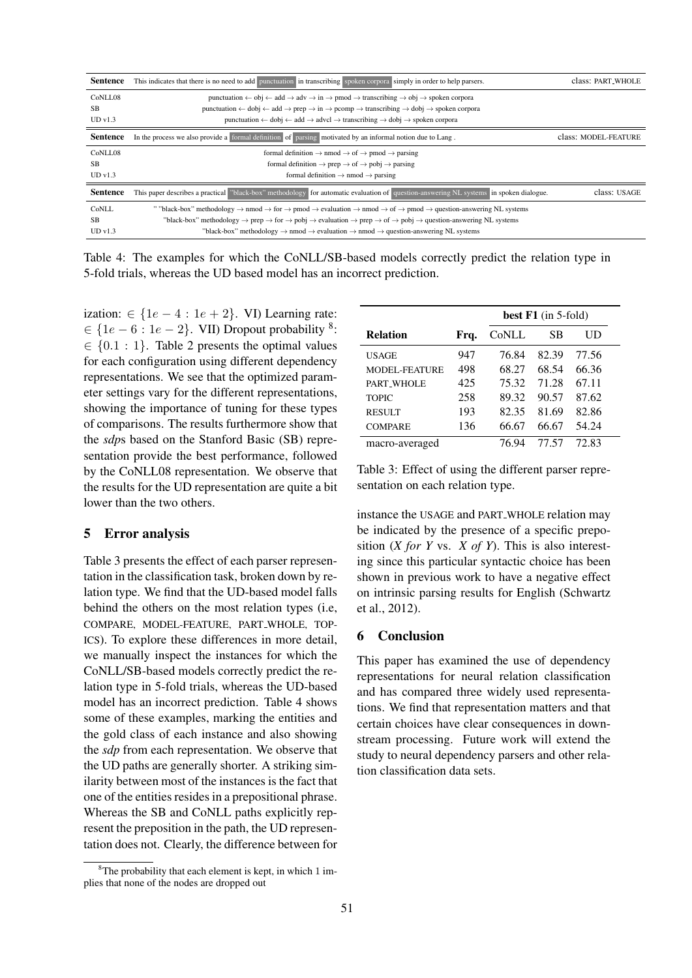| <b>Sentence</b>                   | This indicates that there is no need to add punctuation in transcribing spoken corpora simply in order to help parsers.                                                                                                                                                                                                                                                                                                                                                                                                                                           | class: PART <sub>-WHOLE</sub> |
|-----------------------------------|-------------------------------------------------------------------------------------------------------------------------------------------------------------------------------------------------------------------------------------------------------------------------------------------------------------------------------------------------------------------------------------------------------------------------------------------------------------------------------------------------------------------------------------------------------------------|-------------------------------|
| CoNLL08<br><b>SB</b><br>UD v1.3   | punctuation $\leftarrow$ obj $\leftarrow$ add $\rightarrow$ adv $\rightarrow$ in $\rightarrow$ pmod $\rightarrow$ transcribing $\rightarrow$ obj $\rightarrow$ spoken corpora<br>punctuation $\leftarrow$ dobj $\leftarrow$ add $\rightarrow$ prep $\rightarrow$ in $\rightarrow$ pcomp $\rightarrow$ transcribing $\rightarrow$ dobj $\rightarrow$ spoken corpora<br>punctuation $\leftarrow$ dobj $\leftarrow$ add $\rightarrow$ advcl $\rightarrow$ transcribing $\rightarrow$ dobj $\rightarrow$ spoken corpora                                               |                               |
| <b>Sentence</b>                   | In the process we also provide a formal definition of parsing motivated by an informal notion due to Lang.                                                                                                                                                                                                                                                                                                                                                                                                                                                        | class: MODEL-FEATURE          |
| CoNLL08<br><b>SB</b><br>UDv1.3    | formal definition $\rightarrow$ nmod $\rightarrow$ of $\rightarrow$ pmod $\rightarrow$ parsing<br>formal definition $\rightarrow$ prep $\rightarrow$ of $\rightarrow$ pobj $\rightarrow$ parsing<br>formal definition $\rightarrow$ nmod $\rightarrow$ parsing                                                                                                                                                                                                                                                                                                    |                               |
| <b>Sentence</b>                   | This paper describes a practical "black-box" methodology for automatic evaluation of question-answering NL systems in spoken dialogue.                                                                                                                                                                                                                                                                                                                                                                                                                            | class: USAGE                  |
| CoNLL<br>SB<br>UD <sub>VI.3</sub> | ""black-box" methodology $\rightarrow$ nmod $\rightarrow$ for $\rightarrow$ pmod $\rightarrow$ evaluation $\rightarrow$ nmod $\rightarrow$ of $\rightarrow$ pmod $\rightarrow$ question-answering NL systems<br>"black-box" methodology $\rightarrow$ prep $\rightarrow$ for $\rightarrow$ pobj $\rightarrow$ evaluation $\rightarrow$ prep $\rightarrow$ of $\rightarrow$ pobj $\rightarrow$ question-answering NL systems<br>"black-box" methodology $\rightarrow$ nmod $\rightarrow$ evaluation $\rightarrow$ nmod $\rightarrow$ question-answering NL systems |                               |

Table 4: The examples for which the CoNLL/SB-based models correctly predict the relation type in 5-fold trials, whereas the UD based model has an incorrect prediction.

ization:  $\in \{1e-4 : 1e+2\}$ . VI) Learning rate:  $\in \{1e-6: 1e-2\}$ . VII) Dropout probability <sup>8</sup>:  $\in \{0.1 : 1\}$ . Table 2 presents the optimal values for each configuration using different dependency representations. We see that the optimized parameter settings vary for the different representations, showing the importance of tuning for these types of comparisons. The results furthermore show that the *sdp*s based on the Stanford Basic (SB) representation provide the best performance, followed by the CoNLL08 representation. We observe that the results for the UD representation are quite a bit lower than the two others.

## 5 Error analysis

Table 3 presents the effect of each parser representation in the classification task, broken down by relation type. We find that the UD-based model falls behind the others on the most relation types (i.e, COMPARE, MODEL-FEATURE, PART WHOLE, TOP-ICS). To explore these differences in more detail, we manually inspect the instances for which the CoNLL/SB-based models correctly predict the relation type in 5-fold trials, whereas the UD-based model has an incorrect prediction. Table 4 shows some of these examples, marking the entities and the gold class of each instance and also showing the *sdp* from each representation. We observe that the UD paths are generally shorter. A striking similarity between most of the instances is the fact that one of the entities resides in a prepositional phrase. Whereas the SB and CoNLL paths explicitly represent the preposition in the path, the UD representation does not. Clearly, the difference between for

|                      |      | best F1 (in 5-fold) |       |       |  |
|----------------------|------|---------------------|-------|-------|--|
| <b>Relation</b>      | Frq. | CoNLL               | SВ    | UD    |  |
| USAGE                | 947  | 76.84               | 82.39 | 77.56 |  |
| <b>MODEL-FEATURE</b> | 498  | 68.27               | 68.54 | 66.36 |  |
| PART WHOLE           | 425  | 75.32               | 71.28 | 67.11 |  |
| <b>TOPIC</b>         | 258  | 89.32               | 90.57 | 87.62 |  |
| <b>RESULT</b>        | 193  | 82.35               | 81.69 | 82.86 |  |
| <b>COMPARE</b>       | 136  | 66.67               | 66.67 | 54.24 |  |
| macro-averaged       |      | 76.94               | 77.57 | 72.83 |  |

Table 3: Effect of using the different parser representation on each relation type.

instance the USAGE and PART WHOLE relation may be indicated by the presence of a specific preposition (*X for Y* vs. *X of Y*). This is also interesting since this particular syntactic choice has been shown in previous work to have a negative effect on intrinsic parsing results for English (Schwartz et al., 2012).

## 6 Conclusion

This paper has examined the use of dependency representations for neural relation classification and has compared three widely used representations. We find that representation matters and that certain choices have clear consequences in downstream processing. Future work will extend the study to neural dependency parsers and other relation classification data sets.

 ${}^{8}$ The probability that each element is kept, in which 1 implies that none of the nodes are dropped out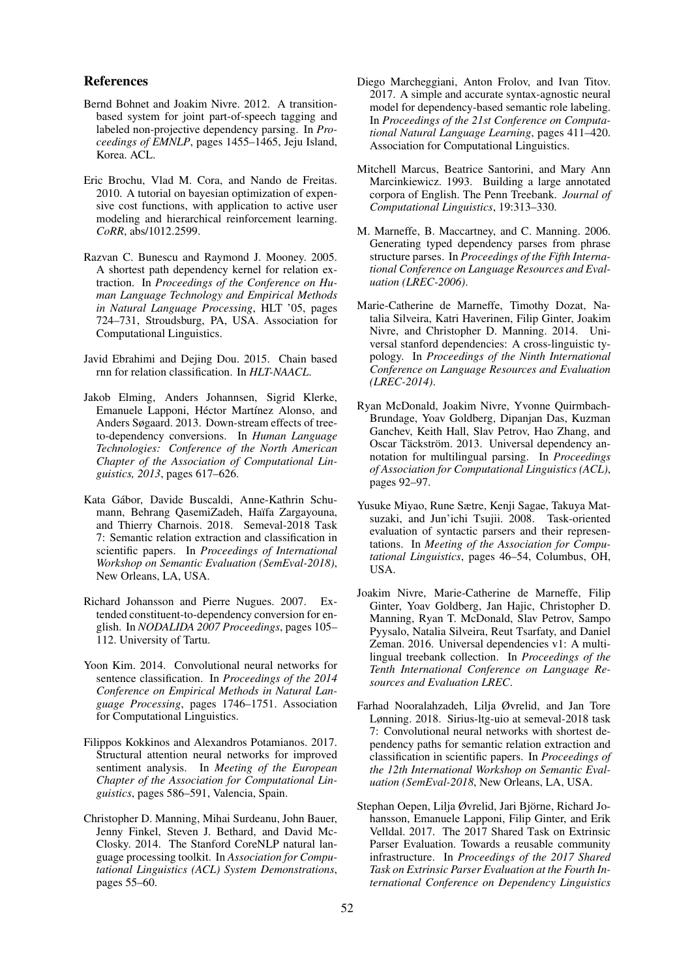### References

- Bernd Bohnet and Joakim Nivre. 2012. A transitionbased system for joint part-of-speech tagging and labeled non-projective dependency parsing. In *Proceedings of EMNLP*, pages 1455–1465, Jeju Island, Korea. ACL.
- Eric Brochu, Vlad M. Cora, and Nando de Freitas. 2010. A tutorial on bayesian optimization of expensive cost functions, with application to active user modeling and hierarchical reinforcement learning. *CoRR*, abs/1012.2599.
- Razvan C. Bunescu and Raymond J. Mooney. 2005. A shortest path dependency kernel for relation extraction. In *Proceedings of the Conference on Human Language Technology and Empirical Methods in Natural Language Processing*, HLT '05, pages 724–731, Stroudsburg, PA, USA. Association for Computational Linguistics.
- Javid Ebrahimi and Dejing Dou. 2015. Chain based rnn for relation classification. In *HLT-NAACL*.
- Jakob Elming, Anders Johannsen, Sigrid Klerke, Emanuele Lapponi, Héctor Martínez Alonso, and Anders Søgaard. 2013. Down-stream effects of treeto-dependency conversions. In *Human Language Technologies: Conference of the North American Chapter of the Association of Computational Linguistics, 2013*, pages 617–626.
- Kata Gabor, Davide Buscaldi, Anne-Kathrin Schu- ´ mann, Behrang QasemiZadeh, Haïfa Zargayouna, and Thierry Charnois. 2018. Semeval-2018 Task 7: Semantic relation extraction and classification in scientific papers. In *Proceedings of International Workshop on Semantic Evaluation (SemEval-2018)*, New Orleans, LA, USA.
- Richard Johansson and Pierre Nugues. 2007. Extended constituent-to-dependency conversion for english. In *NODALIDA 2007 Proceedings*, pages 105– 112. University of Tartu.
- Yoon Kim. 2014. Convolutional neural networks for sentence classification. In *Proceedings of the 2014 Conference on Empirical Methods in Natural Language Processing*, pages 1746–1751. Association for Computational Linguistics.
- Filippos Kokkinos and Alexandros Potamianos. 2017. Structural attention neural networks for improved sentiment analysis. In *Meeting of the European Chapter of the Association for Computational Linguistics*, pages 586–591, Valencia, Spain.
- Christopher D. Manning, Mihai Surdeanu, John Bauer, Jenny Finkel, Steven J. Bethard, and David Mc-Closky. 2014. The Stanford CoreNLP natural language processing toolkit. In *Association for Computational Linguistics (ACL) System Demonstrations*, pages 55–60.
- Diego Marcheggiani, Anton Frolov, and Ivan Titov. 2017. A simple and accurate syntax-agnostic neural model for dependency-based semantic role labeling. In *Proceedings of the 21st Conference on Computational Natural Language Learning*, pages 411–420. Association for Computational Linguistics.
- Mitchell Marcus, Beatrice Santorini, and Mary Ann Marcinkiewicz. 1993. Building a large annotated corpora of English. The Penn Treebank. *Journal of Computational Linguistics*, 19:313–330.
- M. Marneffe, B. Maccartney, and C. Manning. 2006. Generating typed dependency parses from phrase structure parses. In *Proceedings of the Fifth International Conference on Language Resources and Evaluation (LREC-2006)*.
- Marie-Catherine de Marneffe, Timothy Dozat, Natalia Silveira, Katri Haverinen, Filip Ginter, Joakim Nivre, and Christopher D. Manning. 2014. Universal stanford dependencies: A cross-linguistic typology. In *Proceedings of the Ninth International Conference on Language Resources and Evaluation (LREC-2014)*.
- Ryan McDonald, Joakim Nivre, Yvonne Quirmbach-Brundage, Yoav Goldberg, Dipanjan Das, Kuzman Ganchev, Keith Hall, Slav Petrov, Hao Zhang, and Oscar Täckström. 2013. Universal dependency annotation for multilingual parsing. In *Proceedings of Association for Computational Linguistics (ACL)*, pages 92–97.
- Yusuke Miyao, Rune Sætre, Kenji Sagae, Takuya Matsuzaki, and Jun'ichi Tsujii. 2008. Task-oriented evaluation of syntactic parsers and their representations. In *Meeting of the Association for Computational Linguistics*, pages 46–54, Columbus, OH, USA.
- Joakim Nivre, Marie-Catherine de Marneffe, Filip Ginter, Yoav Goldberg, Jan Hajic, Christopher D. Manning, Ryan T. McDonald, Slav Petrov, Sampo Pyysalo, Natalia Silveira, Reut Tsarfaty, and Daniel Zeman. 2016. Universal dependencies v1: A multilingual treebank collection. In *Proceedings of the Tenth International Conference on Language Resources and Evaluation LREC*.
- Farhad Nooralahzadeh, Lilja Øvrelid, and Jan Tore Lønning. 2018. Sirius-ltg-uio at semeval-2018 task 7: Convolutional neural networks with shortest dependency paths for semantic relation extraction and classification in scientific papers. In *Proceedings of the 12th International Workshop on Semantic Evaluation (SemEval-2018*, New Orleans, LA, USA.
- Stephan Oepen, Lilja Øvrelid, Jari Björne, Richard Johansson, Emanuele Lapponi, Filip Ginter, and Erik Velldal. 2017. The 2017 Shared Task on Extrinsic Parser Evaluation. Towards a reusable community infrastructure. In *Proceedings of the 2017 Shared Task on Extrinsic Parser Evaluation at the Fourth International Conference on Dependency Linguistics*